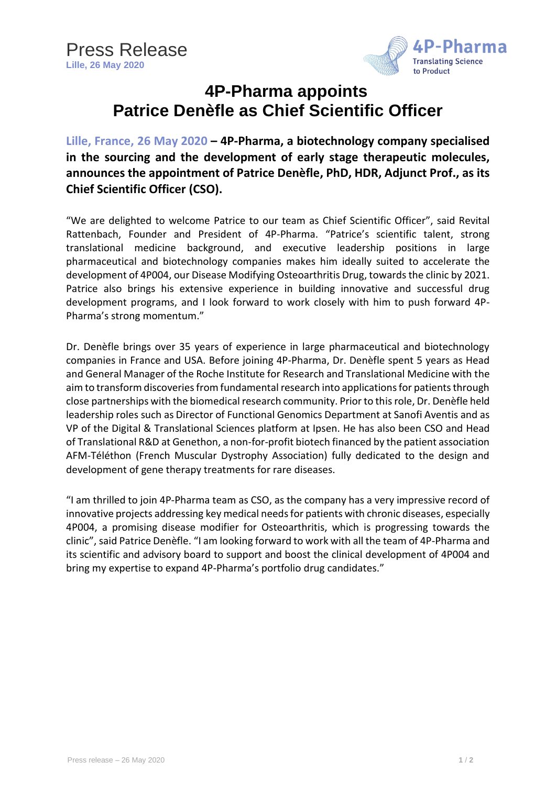

## **4P-Pharma appoints Patrice Denèfle as Chief Scientific Officer**

**Lille, France, 26 May 2020 – 4P-Pharma, a biotechnology company specialised in the sourcing and the development of early stage therapeutic molecules, announces the appointment of Patrice Denèfle, PhD, HDR, Adjunct Prof., as its Chief Scientific Officer (CSO).**

"We are delighted to welcome Patrice to our team as Chief Scientific Officer", said Revital Rattenbach, Founder and President of 4P-Pharma. "Patrice's scientific talent, strong translational medicine background, and executive leadership positions in large pharmaceutical and biotechnology companies makes him ideally suited to accelerate the development of 4P004, our Disease Modifying Osteoarthritis Drug, towards the clinic by 2021. Patrice also brings his extensive experience in building innovative and successful drug development programs, and I look forward to work closely with him to push forward 4P-Pharma's strong momentum."

Dr. Denèfle brings over 35 years of experience in large pharmaceutical and biotechnology companies in France and USA. Before joining 4P-Pharma, Dr. Denèfle spent 5 years as Head and General Manager of the Roche Institute for Research and Translational Medicine with the aim to transform discoveries from fundamental research into applications for patients through close partnerships with the biomedical research community. Prior to this role, Dr. Denèfle held leadership roles such as Director of Functional Genomics Department at Sanofi Aventis and as VP of the Digital & Translational Sciences platform at Ipsen. He has also been CSO and Head of Translational R&D at Genethon, a non-for-profit biotech financed by the patient association AFM-Téléthon (French Muscular Dystrophy Association) fully dedicated to the design and development of gene therapy treatments for rare diseases.

"I am thrilled to join 4P-Pharma team as CSO, as the company has a very impressive record of innovative projects addressing key medical needs for patients with chronic diseases, especially 4P004, a promising disease modifier for Osteoarthritis, which is progressing towards the clinic", said Patrice Denèfle. "I am looking forward to work with all the team of 4P-Pharma and its scientific and advisory board to support and boost the clinical development of 4P004 and bring my expertise to expand 4P-Pharma's portfolio drug candidates."